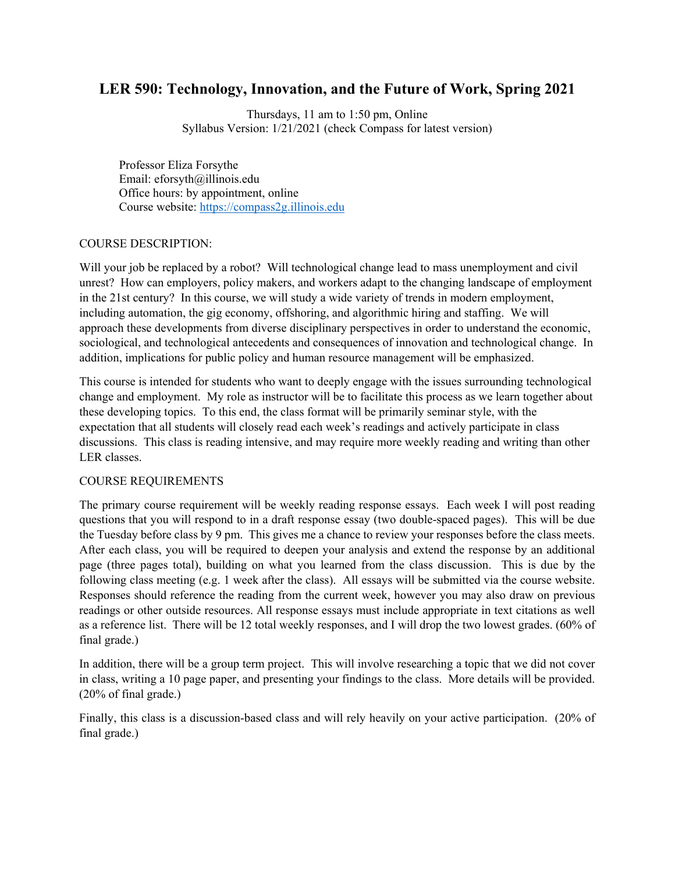# **LER 590: Technology, Innovation, and the Future of Work, Spring 2021**

Thursdays, 11 am to 1:50 pm, Online Syllabus Version: 1/21/2021 (check Compass for latest version)

Professor Eliza Forsythe Email: eforsyth@illinois.edu Office hours: by appointment, online Course website: [https://compass2g.illinois.edu](https://compass2g.illinois.edu/)

#### COURSE DESCRIPTION:

Will your job be replaced by a robot? Will technological change lead to mass unemployment and civil unrest? How can employers, policy makers, and workers adapt to the changing landscape of employment in the 21st century? In this course, we will study a wide variety of trends in modern employment, including automation, the gig economy, offshoring, and algorithmic hiring and staffing. We will approach these developments from diverse disciplinary perspectives in order to understand the economic, sociological, and technological antecedents and consequences of innovation and technological change. In addition, implications for public policy and human resource management will be emphasized.

This course is intended for students who want to deeply engage with the issues surrounding technological change and employment. My role as instructor will be to facilitate this process as we learn together about these developing topics. To this end, the class format will be primarily seminar style, with the expectation that all students will closely read each week's readings and actively participate in class discussions. This class is reading intensive, and may require more weekly reading and writing than other LER classes.

#### COURSE REQUIREMENTS

The primary course requirement will be weekly reading response essays. Each week I will post reading questions that you will respond to in a draft response essay (two double-spaced pages). This will be due the Tuesday before class by 9 pm. This gives me a chance to review your responses before the class meets. After each class, you will be required to deepen your analysis and extend the response by an additional page (three pages total), building on what you learned from the class discussion. This is due by the following class meeting (e.g. 1 week after the class). All essays will be submitted via the course website. Responses should reference the reading from the current week, however you may also draw on previous readings or other outside resources. All response essays must include appropriate in text citations as well as a reference list. There will be 12 total weekly responses, and I will drop the two lowest grades. (60% of final grade.)

In addition, there will be a group term project. This will involve researching a topic that we did not cover in class, writing a 10 page paper, and presenting your findings to the class. More details will be provided. (20% of final grade.)

Finally, this class is a discussion-based class and will rely heavily on your active participation. (20% of final grade.)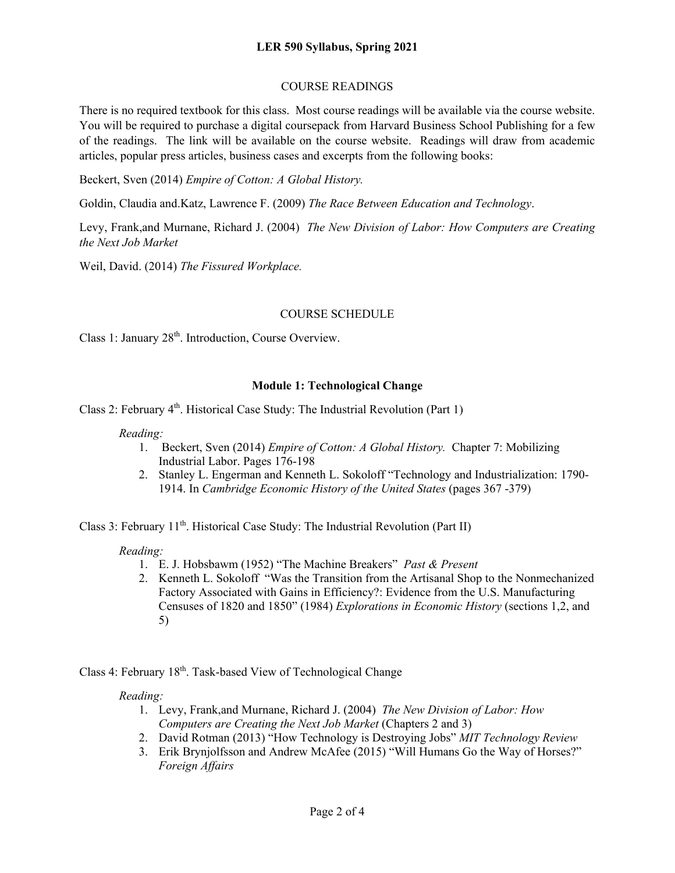#### **LER 590 Syllabus, Spring 2021**

#### COURSE READINGS

There is no required textbook for this class. Most course readings will be available via the course website. You will be required to purchase a digital coursepack from Harvard Business School Publishing for a few of the readings. The link will be available on the course website. Readings will draw from academic articles, popular press articles, business cases and excerpts from the following books:

Beckert, Sven (2014) *Empire of Cotton: A Global History.*

Goldin, Claudia and.Katz, Lawrence F. (2009) *The Race Between Education and Technology*.

Levy, Frank,and Murnane, Richard J. (2004) *The New Division of Labor: How Computers are Creating the Next Job Market*

Weil, David. (2014) *The Fissured Workplace.*

#### COURSE SCHEDULE

Class 1: January  $28<sup>th</sup>$ . Introduction, Course Overview.

### **Module 1: Technological Change**

Class 2: February 4<sup>th</sup>. Historical Case Study: The Industrial Revolution (Part 1)

*Reading:*

- 1. Beckert, Sven (2014) *Empire of Cotton: A Global History.* Chapter 7: Mobilizing Industrial Labor. Pages 176-198
- 2. Stanley L. Engerman and Kenneth L. Sokoloff "Technology and Industrialization: 1790- 1914. In *Cambridge Economic History of the United States* (pages 367 -379)

Class 3: February 11<sup>th</sup>. Historical Case Study: The Industrial Revolution (Part II)

*Reading:*

- 1. E. J. Hobsbawm (1952) "The Machine Breakers" *Past & Present*
- 2. Kenneth L. Sokoloff "Was the Transition from the Artisanal Shop to the Nonmechanized Factory Associated with Gains in Efficiency?: Evidence from the U.S. Manufacturing Censuses of 1820 and 1850" (1984) *Explorations in Economic History* (sections 1,2, and 5)

Class 4: February 18<sup>th</sup>. Task-based View of Technological Change

#### *Reading:*

- 1. Levy, Frank,and Murnane, Richard J. (2004) *The New Division of Labor: How Computers are Creating the Next Job Market* (Chapters 2 and 3)
- 2. David Rotman (2013) "How Technology is Destroying Jobs" *MIT Technology Review*
- 3. Erik Brynjolfsson and Andrew McAfee (2015) "Will Humans Go the Way of Horses?" *Foreign Affairs*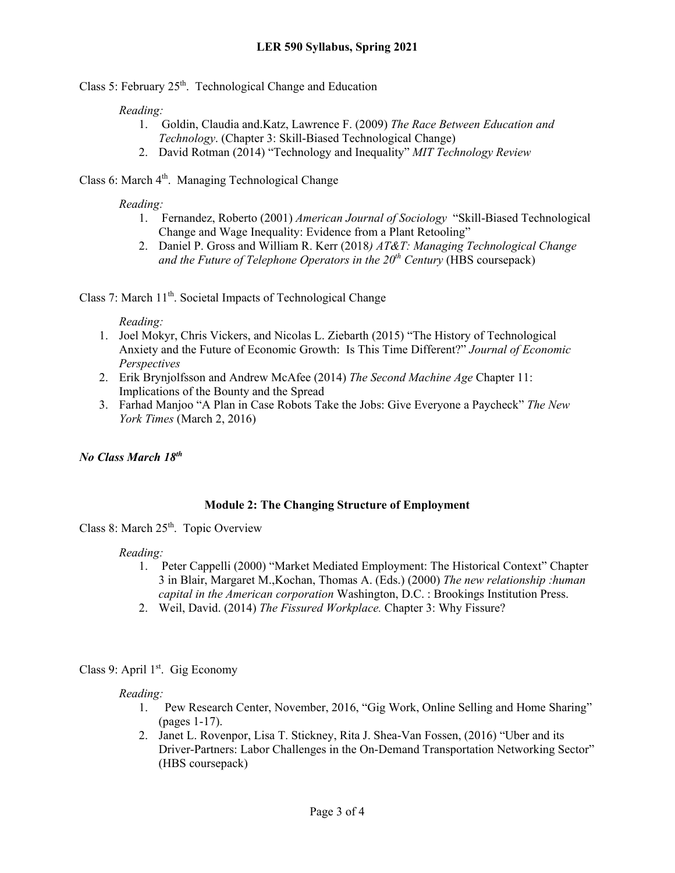Class 5: February  $25<sup>th</sup>$ . Technological Change and Education

### *Reading:*

- 1. Goldin, Claudia and.Katz, Lawrence F. (2009) *The Race Between Education and Technology*. (Chapter 3: Skill-Biased Technological Change)
- 2. David Rotman (2014) "Technology and Inequality" *MIT Technology Review*

# Class 6: March 4<sup>th</sup>. Managing Technological Change

### *Reading:*

- 1. Fernandez, Roberto (2001) *American Journal of Sociology* "Skill-Biased Technological Change and Wage Inequality: Evidence from a Plant Retooling"
- 2. Daniel P. Gross and William R. Kerr (2018*) AT&T: Managing Technological Change and the Future of Telephone Operators in the 20<sup>th</sup> Century* (HBS coursepack)

Class 7: March  $11<sup>th</sup>$ . Societal Impacts of Technological Change

*Reading:*

- 1. Joel Mokyr, Chris Vickers, and Nicolas L. Ziebarth (2015) "The History of Technological Anxiety and the Future of Economic Growth: Is This Time Different?" *Journal of Economic Perspectives*
- 2. Erik Brynjolfsson and Andrew McAfee (2014) *The Second Machine Age* Chapter 11: Implications of the Bounty and the Spread
- 3. Farhad Manjoo "A Plan in Case Robots Take the Jobs: Give Everyone a Paycheck" *The New York Times* (March 2, 2016)

# *No Class March 18th*

# **Module 2: The Changing Structure of Employment**

Class 8: March  $25<sup>th</sup>$ . Topic Overview

#### *Reading:*

- 1. Peter Cappelli (2000) "Market Mediated Employment: The Historical Context" Chapter 3 in Blair, Margaret M.,Kochan, Thomas A. (Eds.) (2000) *The new relationship :human capital in the American corporation* Washington, D.C. : Brookings Institution Press.
- 2. Weil, David. (2014) *The Fissured Workplace.* Chapter 3: Why Fissure?

# Class 9: April 1<sup>st</sup>. Gig Economy

# *Reading:*

- 1. Pew Research Center, November, 2016, "Gig Work, Online Selling and Home Sharing" (pages 1-17).
- 2. Janet L. Rovenpor, Lisa T. Stickney, Rita J. Shea-Van Fossen, (2016) "Uber and its Driver-Partners: Labor Challenges in the On-Demand Transportation Networking Sector" (HBS coursepack)